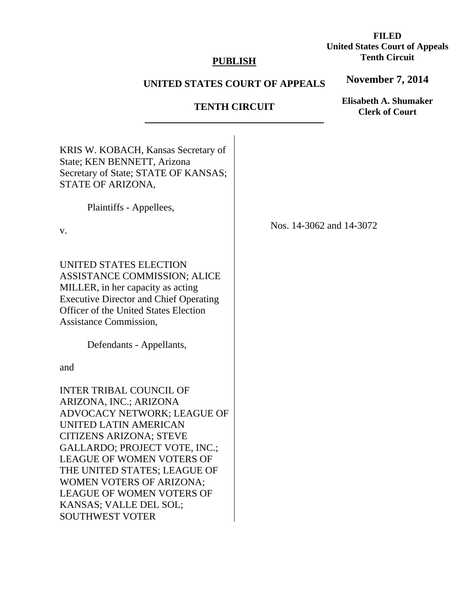# **PUBLISH**

# **UNITED STATES COURT OF APPEALS**

**TENTH CIRCUIT** 

|                                                                                                                                                                                                                                                                                                                                                                      | TENTH CIRCUIT | <b>Clerk of Court</b>    |
|----------------------------------------------------------------------------------------------------------------------------------------------------------------------------------------------------------------------------------------------------------------------------------------------------------------------------------------------------------------------|---------------|--------------------------|
| KRIS W. KOBACH, Kansas Secretary of<br>State; KEN BENNETT, Arizona<br>Secretary of State; STATE OF KANSAS;<br>STATE OF ARIZONA,                                                                                                                                                                                                                                      |               |                          |
| Plaintiffs - Appellees,                                                                                                                                                                                                                                                                                                                                              |               |                          |
| V.                                                                                                                                                                                                                                                                                                                                                                   |               | Nos. 14-3062 and 14-3072 |
| UNITED STATES ELECTION<br>ASSISTANCE COMMISSION; ALICE<br>MILLER, in her capacity as acting<br><b>Executive Director and Chief Operating</b><br><b>Officer of the United States Election</b><br><b>Assistance Commission,</b>                                                                                                                                        |               |                          |
| Defendants - Appellants,                                                                                                                                                                                                                                                                                                                                             |               |                          |
| and                                                                                                                                                                                                                                                                                                                                                                  |               |                          |
| INTER TRIBAL COUNCIL OF<br>ARIZONA, INC.; ARIZONA<br>ADVOCACY NETWORK; LEAGUE OF<br>UNITED LATIN AMERICAN<br>CITIZENS ARIZONA; STEVE<br>GALLARDO; PROJECT VOTE, INC.;<br><b>LEAGUE OF WOMEN VOTERS OF</b><br>THE UNITED STATES; LEAGUE OF<br><b>WOMEN VOTERS OF ARIZONA;</b><br><b>LEAGUE OF WOMEN VOTERS OF</b><br>KANSAS: VALLE DEL SOL:<br><b>SOUTHWEST VOTER</b> |               |                          |

# **FILED United States Court of Appeals Tenth Circuit**

**November 7, 2014**

**Elisabeth A. Shumaker**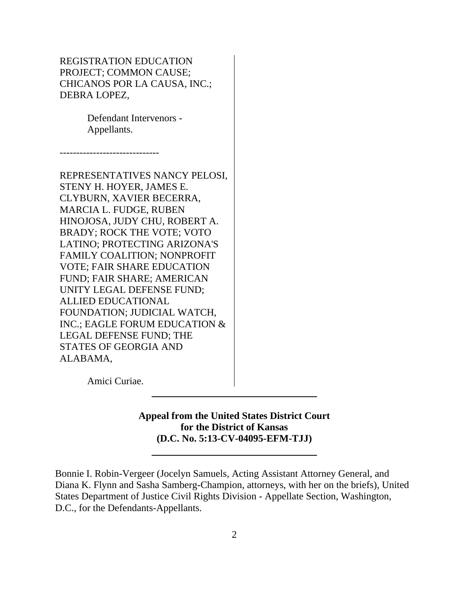REGISTRATION EDUCATION PROJECT; COMMON CAUSE; CHICANOS POR LA CAUSA, INC.; DEBRA LOPEZ,

> Defendant Intervenors - Appellants.

------------------------------

REPRESENTATIVES NANCY PELOSI, STENY H. HOYER, JAMES E. CLYBURN, XAVIER BECERRA, MARCIA L. FUDGE, RUBEN HINOJOSA, JUDY CHU, ROBERT A. BRADY; ROCK THE VOTE; VOTO LATINO; PROTECTING ARIZONA'S FAMILY COALITION; NONPROFIT VOTE; FAIR SHARE EDUCATION FUND; FAIR SHARE; AMERICAN UNITY LEGAL DEFENSE FUND; ALLIED EDUCATIONAL FOUNDATION; JUDICIAL WATCH, INC.; EAGLE FORUM EDUCATION & LEGAL DEFENSE FUND; THE STATES OF GEORGIA AND ALABAMA,

 $\overline{a}$ 

Amici Curiae.

**Appeal from the United States District Court for the District of Kansas (D.C. No. 5:13-CV-04095-EFM-TJJ)**

Bonnie I. Robin-Vergeer (Jocelyn Samuels, Acting Assistant Attorney General, and Diana K. Flynn and Sasha Samberg-Champion, attorneys, with her on the briefs), United States Department of Justice Civil Rights Division - Appellate Section, Washington, D.C., for the Defendants-Appellants.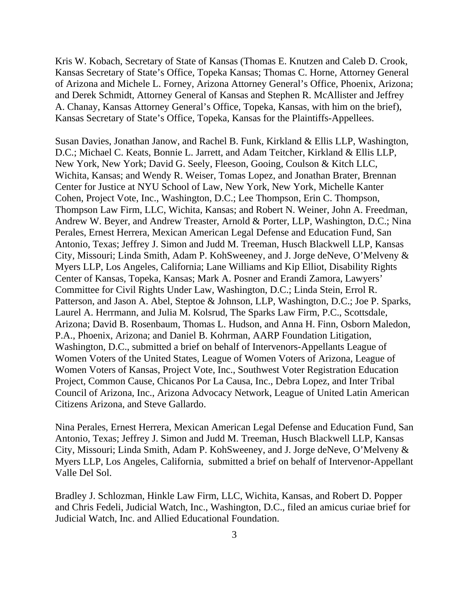Kris W. Kobach, Secretary of State of Kansas (Thomas E. Knutzen and Caleb D. Crook, Kansas Secretary of State's Office, Topeka Kansas; Thomas C. Horne, Attorney General of Arizona and Michele L. Forney, Arizona Attorney General's Office, Phoenix, Arizona; and Derek Schmidt, Attorney General of Kansas and Stephen R. McAllister and Jeffrey A. Chanay, Kansas Attorney General's Office, Topeka, Kansas, with him on the brief), Kansas Secretary of State's Office, Topeka, Kansas for the Plaintiffs-Appellees.

Susan Davies, Jonathan Janow, and Rachel B. Funk, Kirkland & Ellis LLP, Washington, D.C.; Michael C. Keats, Bonnie L. Jarrett, and Adam Teitcher, Kirkland & Ellis LLP, New York, New York; David G. Seely, Fleeson, Gooing, Coulson & Kitch LLC, Wichita, Kansas; and Wendy R. Weiser, Tomas Lopez, and Jonathan Brater, Brennan Center for Justice at NYU School of Law, New York, New York, Michelle Kanter Cohen, Project Vote, Inc., Washington, D.C.; Lee Thompson, Erin C. Thompson, Thompson Law Firm, LLC, Wichita, Kansas; and Robert N. Weiner, John A. Freedman, Andrew W. Beyer, and Andrew Treaster, Arnold & Porter, LLP, Washington, D.C.; Nina Perales, Ernest Herrera, Mexican American Legal Defense and Education Fund, San Antonio, Texas; Jeffrey J. Simon and Judd M. Treeman, Husch Blackwell LLP, Kansas City, Missouri; Linda Smith, Adam P. KohSweeney, and J. Jorge deNeve, O'Melveny & Myers LLP, Los Angeles, California; Lane Williams and Kip Elliot, Disability Rights Center of Kansas, Topeka, Kansas; Mark A. Posner and Erandi Zamora, Lawyers' Committee for Civil Rights Under Law, Washington, D.C.; Linda Stein, Errol R. Patterson, and Jason A. Abel, Steptoe & Johnson, LLP, Washington, D.C.; Joe P. Sparks, Laurel A. Herrmann, and Julia M. Kolsrud, The Sparks Law Firm, P.C., Scottsdale, Arizona; David B. Rosenbaum, Thomas L. Hudson, and Anna H. Finn, Osborn Maledon, P.A., Phoenix, Arizona; and Daniel B. Kohrman, AARP Foundation Litigation, Washington, D.C., submitted a brief on behalf of Intervenors-Appellants League of Women Voters of the United States, League of Women Voters of Arizona, League of Women Voters of Kansas, Project Vote, Inc., Southwest Voter Registration Education Project, Common Cause, Chicanos Por La Causa, Inc., Debra Lopez, and Inter Tribal Council of Arizona, Inc., Arizona Advocacy Network, League of United Latin American Citizens Arizona, and Steve Gallardo.

Nina Perales, Ernest Herrera, Mexican American Legal Defense and Education Fund, San Antonio, Texas; Jeffrey J. Simon and Judd M. Treeman, Husch Blackwell LLP, Kansas City, Missouri; Linda Smith, Adam P. KohSweeney, and J. Jorge deNeve, O'Melveny & Myers LLP, Los Angeles, California, submitted a brief on behalf of Intervenor-Appellant Valle Del Sol.

Bradley J. Schlozman, Hinkle Law Firm, LLC, Wichita, Kansas, and Robert D. Popper and Chris Fedeli, Judicial Watch, Inc., Washington, D.C., filed an amicus curiae brief for Judicial Watch, Inc. and Allied Educational Foundation.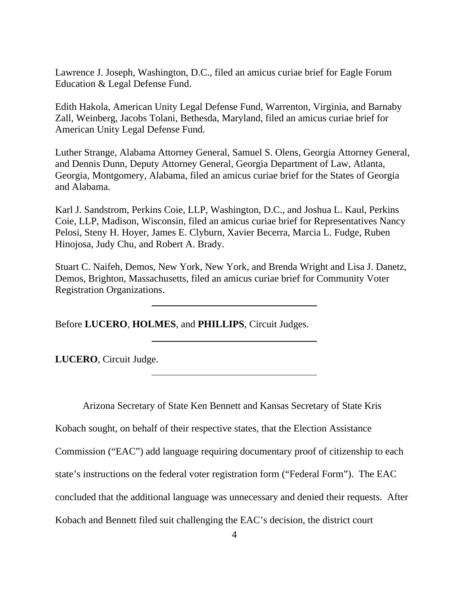Lawrence J. Joseph, Washington, D.C., filed an amicus curiae brief for Eagle Forum Education & Legal Defense Fund.

Edith Hakola, American Unity Legal Defense Fund, Warrenton, Virginia, and Barnaby Zall, Weinberg, Jacobs Tolani, Bethesda, Maryland, filed an amicus curiae brief for American Unity Legal Defense Fund.

Luther Strange, Alabama Attorney General, Samuel S. Olens, Georgia Attorney General, and Dennis Dunn, Deputy Attorney General, Georgia Department of Law, Atlanta, Georgia, Montgomery, Alabama, filed an amicus curiae brief for the States of Georgia and Alabama.

Karl J. Sandstrom, Perkins Coie, LLP, Washington, D.C., and Joshua L. Kaul, Perkins Coie, LLP, Madison, Wisconsin, filed an amicus curiae brief for Representatives Nancy Pelosi, Steny H. Hoyer, James E. Clyburn, Xavier Becerra, Marcia L. Fudge, Ruben Hinojosa, Judy Chu, and Robert A. Brady.

Stuart C. Naifeh, Demos, New York, New York, and Brenda Wright and Lisa J. Danetz, Demos, Brighton, Massachusetts, filed an amicus curiae brief for Community Voter Registration Organizations.

Before **LUCERO**, **HOLMES**, and **PHILLIPS**, Circuit Judges.

 $\overline{\phantom{a}}$ 

 $\overline{a}$ 

**LUCERO**, Circuit Judge.

Arizona Secretary of State Ken Bennett and Kansas Secretary of State Kris

Kobach sought, on behalf of their respective states, that the Election Assistance

Commission ("EAC") add language requiring documentary proof of citizenship to each

state's instructions on the federal voter registration form ("Federal Form"). The EAC

concluded that the additional language was unnecessary and denied their requests. After

Kobach and Bennett filed suit challenging the EAC's decision, the district court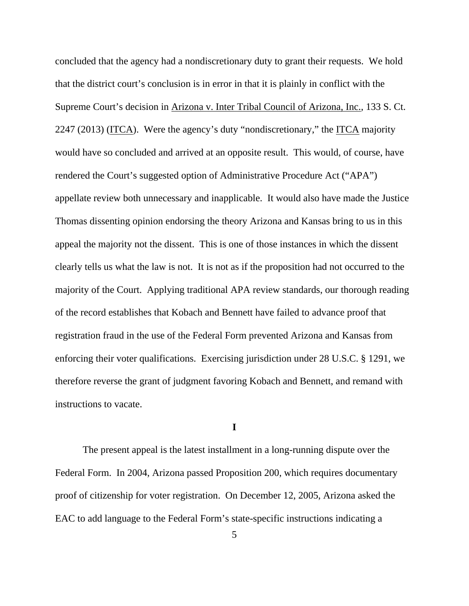concluded that the agency had a nondiscretionary duty to grant their requests. We hold that the district court's conclusion is in error in that it is plainly in conflict with the Supreme Court's decision in Arizona v. Inter Tribal Council of Arizona, Inc., 133 S. Ct. 2247 (2013) (ITCA). Were the agency's duty "nondiscretionary," the ITCA majority would have so concluded and arrived at an opposite result. This would, of course, have rendered the Court's suggested option of Administrative Procedure Act ("APA") appellate review both unnecessary and inapplicable. It would also have made the Justice Thomas dissenting opinion endorsing the theory Arizona and Kansas bring to us in this appeal the majority not the dissent. This is one of those instances in which the dissent clearly tells us what the law is not. It is not as if the proposition had not occurred to the majority of the Court. Applying traditional APA review standards, our thorough reading of the record establishes that Kobach and Bennett have failed to advance proof that registration fraud in the use of the Federal Form prevented Arizona and Kansas from enforcing their voter qualifications. Exercising jurisdiction under 28 U.S.C. § 1291, we therefore reverse the grant of judgment favoring Kobach and Bennett, and remand with instructions to vacate.

## **I**

The present appeal is the latest installment in a long-running dispute over the Federal Form. In 2004, Arizona passed Proposition 200, which requires documentary proof of citizenship for voter registration. On December 12, 2005, Arizona asked the EAC to add language to the Federal Form's state-specific instructions indicating a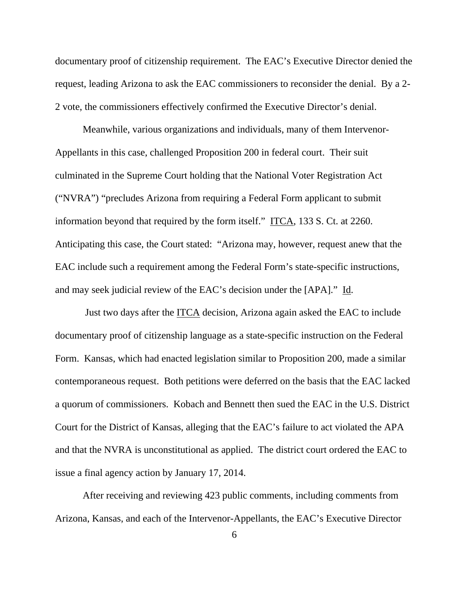documentary proof of citizenship requirement. The EAC's Executive Director denied the request, leading Arizona to ask the EAC commissioners to reconsider the denial. By a 2- 2 vote, the commissioners effectively confirmed the Executive Director's denial.

Meanwhile, various organizations and individuals, many of them Intervenor-Appellants in this case, challenged Proposition 200 in federal court. Their suit culminated in the Supreme Court holding that the National Voter Registration Act ("NVRA") "precludes Arizona from requiring a Federal Form applicant to submit information beyond that required by the form itself." ITCA, 133 S. Ct. at 2260. Anticipating this case, the Court stated: "Arizona may, however, request anew that the EAC include such a requirement among the Federal Form's state-specific instructions, and may seek judicial review of the EAC's decision under the [APA]." Id.

 Just two days after the ITCA decision, Arizona again asked the EAC to include documentary proof of citizenship language as a state-specific instruction on the Federal Form. Kansas, which had enacted legislation similar to Proposition 200, made a similar contemporaneous request. Both petitions were deferred on the basis that the EAC lacked a quorum of commissioners. Kobach and Bennett then sued the EAC in the U.S. District Court for the District of Kansas, alleging that the EAC's failure to act violated the APA and that the NVRA is unconstitutional as applied. The district court ordered the EAC to issue a final agency action by January 17, 2014.

After receiving and reviewing 423 public comments, including comments from Arizona, Kansas, and each of the Intervenor-Appellants, the EAC's Executive Director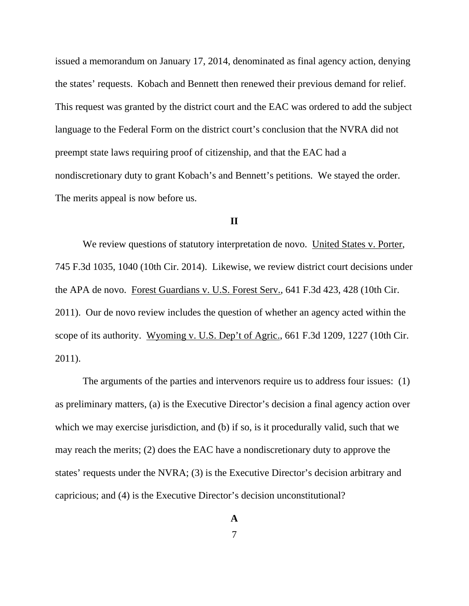issued a memorandum on January 17, 2014, denominated as final agency action, denying the states' requests. Kobach and Bennett then renewed their previous demand for relief. This request was granted by the district court and the EAC was ordered to add the subject language to the Federal Form on the district court's conclusion that the NVRA did not preempt state laws requiring proof of citizenship, and that the EAC had a nondiscretionary duty to grant Kobach's and Bennett's petitions. We stayed the order. The merits appeal is now before us.

### **II**

We review questions of statutory interpretation de novo. United States v. Porter, 745 F.3d 1035, 1040 (10th Cir. 2014). Likewise, we review district court decisions under the APA de novo. Forest Guardians v. U.S. Forest Serv., 641 F.3d 423, 428 (10th Cir. 2011). Our de novo review includes the question of whether an agency acted within the scope of its authority. Wyoming v. U.S. Dep't of Agric., 661 F.3d 1209, 1227 (10th Cir. 2011).

The arguments of the parties and intervenors require us to address four issues: (1) as preliminary matters, (a) is the Executive Director's decision a final agency action over which we may exercise jurisdiction, and (b) if so, is it procedurally valid, such that we may reach the merits; (2) does the EAC have a nondiscretionary duty to approve the states' requests under the NVRA; (3) is the Executive Director's decision arbitrary and capricious; and (4) is the Executive Director's decision unconstitutional?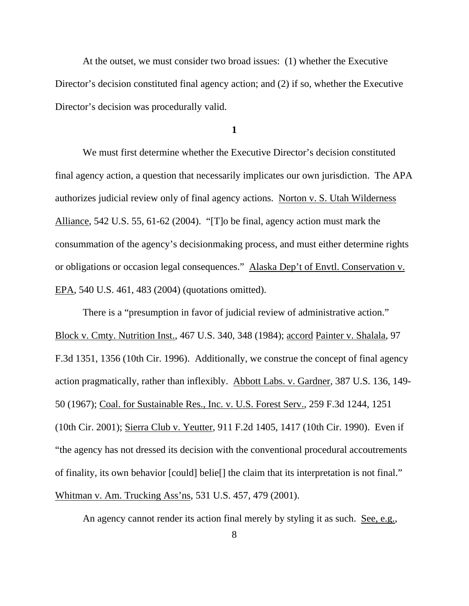At the outset, we must consider two broad issues: (1) whether the Executive Director's decision constituted final agency action; and (2) if so, whether the Executive Director's decision was procedurally valid.

**1** 

We must first determine whether the Executive Director's decision constituted final agency action, a question that necessarily implicates our own jurisdiction. The APA authorizes judicial review only of final agency actions. Norton v. S. Utah Wilderness Alliance, 542 U.S. 55, 61-62 (2004). "[T]o be final, agency action must mark the consummation of the agency's decisionmaking process, and must either determine rights or obligations or occasion legal consequences." Alaska Dep't of Envtl. Conservation v. EPA, 540 U.S. 461, 483 (2004) (quotations omitted).

There is a "presumption in favor of judicial review of administrative action." Block v. Cmty. Nutrition Inst., 467 U.S. 340, 348 (1984); accord Painter v. Shalala, 97 F.3d 1351, 1356 (10th Cir. 1996). Additionally, we construe the concept of final agency action pragmatically, rather than inflexibly. Abbott Labs. v. Gardner, 387 U.S. 136, 149- 50 (1967); Coal. for Sustainable Res., Inc. v. U.S. Forest Serv., 259 F.3d 1244, 1251 (10th Cir. 2001); Sierra Club v. Yeutter, 911 F.2d 1405, 1417 (10th Cir. 1990). Even if "the agency has not dressed its decision with the conventional procedural accoutrements of finality, its own behavior [could] belie[] the claim that its interpretation is not final." Whitman v. Am. Trucking Ass'ns, 531 U.S. 457, 479 (2001).

An agency cannot render its action final merely by styling it as such. See, e.g.,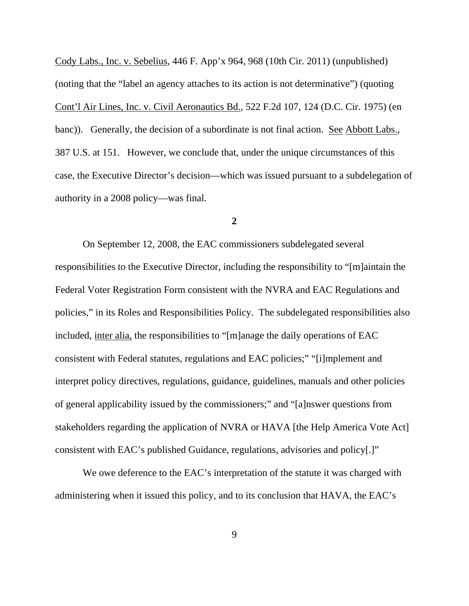Cody Labs., Inc. v. Sebelius, 446 F. App'x 964, 968 (10th Cir. 2011) (unpublished) (noting that the "label an agency attaches to its action is not determinative") (quoting Cont'l Air Lines, Inc. v. Civil Aeronautics Bd., 522 F.2d 107, 124 (D.C. Cir. 1975) (en banc)). Generally, the decision of a subordinate is not final action. See Abbott Labs., 387 U.S. at 151. However, we conclude that, under the unique circumstances of this case, the Executive Director's decision—which was issued pursuant to a subdelegation of authority in a 2008 policy—was final.

#### **2**

On September 12, 2008, the EAC commissioners subdelegated several responsibilities to the Executive Director, including the responsibility to "[m]aintain the Federal Voter Registration Form consistent with the NVRA and EAC Regulations and policies," in its Roles and Responsibilities Policy. The subdelegated responsibilities also included, inter alia, the responsibilities to "[m]anage the daily operations of EAC consistent with Federal statutes, regulations and EAC policies;" "[i]mplement and interpret policy directives, regulations, guidance, guidelines, manuals and other policies of general applicability issued by the commissioners;" and "[a]nswer questions from stakeholders regarding the application of NVRA or HAVA [the Help America Vote Act] consistent with EAC's published Guidance, regulations, advisories and policy[.]"

We owe deference to the EAC's interpretation of the statute it was charged with administering when it issued this policy, and to its conclusion that HAVA, the EAC's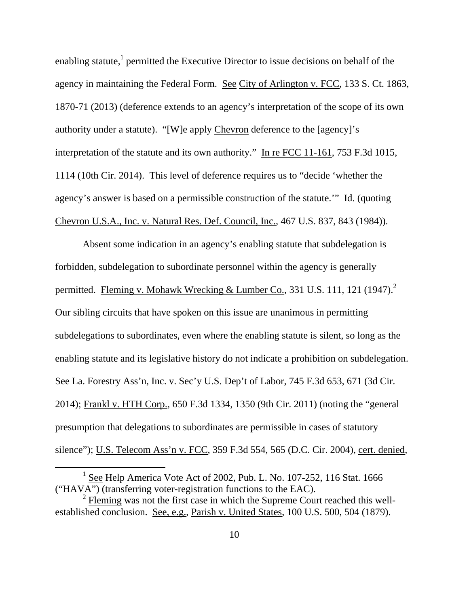enabling statute,<sup>1</sup> permitted the Executive Director to issue decisions on behalf of the agency in maintaining the Federal Form. See City of Arlington v. FCC, 133 S. Ct. 1863, 1870-71 (2013) (deference extends to an agency's interpretation of the scope of its own authority under a statute). "[W]e apply Chevron deference to the [agency]'s interpretation of the statute and its own authority." In re FCC 11-161, 753 F.3d 1015, 1114 (10th Cir. 2014). This level of deference requires us to "decide 'whether the agency's answer is based on a permissible construction of the statute.'" Id. (quoting Chevron U.S.A., Inc. v. Natural Res. Def. Council, Inc., 467 U.S. 837, 843 (1984)).

Absent some indication in an agency's enabling statute that subdelegation is forbidden, subdelegation to subordinate personnel within the agency is generally permitted. Fleming v. Mohawk Wrecking & Lumber Co., 331 U.S. 111, 121 (1947).<sup>2</sup> Our sibling circuits that have spoken on this issue are unanimous in permitting subdelegations to subordinates, even where the enabling statute is silent, so long as the enabling statute and its legislative history do not indicate a prohibition on subdelegation. See La. Forestry Ass'n, Inc. v. Sec'y U.S. Dep't of Labor, 745 F.3d 653, 671 (3d Cir. 2014); Frankl v. HTH Corp., 650 F.3d 1334, 1350 (9th Cir. 2011) (noting the "general presumption that delegations to subordinates are permissible in cases of statutory silence"); U.S. Telecom Ass'n v. FCC, 359 F.3d 554, 565 (D.C. Cir. 2004), cert. denied,

<sup>&</sup>lt;u>1</u> <sup>1</sup> See Help America Vote Act of 2002, Pub. L. No. 107-252, 116 Stat. 1666 ("HAVA") (transferring voter-registration functions to the EAC).

<sup>2</sup> Fleming was not the first case in which the Supreme Court reached this wellestablished conclusion. See, e.g., Parish v. United States, 100 U.S. 500, 504 (1879).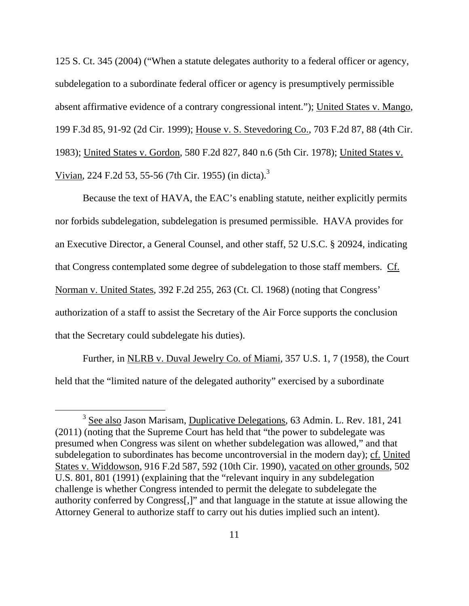125 S. Ct. 345 (2004) ("When a statute delegates authority to a federal officer or agency, subdelegation to a subordinate federal officer or agency is presumptively permissible absent affirmative evidence of a contrary congressional intent."); United States v. Mango, 199 F.3d 85, 91-92 (2d Cir. 1999); House v. S. Stevedoring Co., 703 F.2d 87, 88 (4th Cir. 1983); United States v. Gordon, 580 F.2d 827, 840 n.6 (5th Cir. 1978); United States v. Vivian, 224 F.2d 53, 55-56 (7th Cir. 1955) (in dicta).3

Because the text of HAVA, the EAC's enabling statute, neither explicitly permits nor forbids subdelegation, subdelegation is presumed permissible. HAVA provides for an Executive Director, a General Counsel, and other staff, 52 U.S.C. § 20924, indicating that Congress contemplated some degree of subdelegation to those staff members. Cf. Norman v. United States, 392 F.2d 255, 263 (Ct. Cl. 1968) (noting that Congress' authorization of a staff to assist the Secretary of the Air Force supports the conclusion that the Secretary could subdelegate his duties).

Further, in NLRB v. Duval Jewelry Co. of Miami, 357 U.S. 1, 7 (1958), the Court held that the "limited nature of the delegated authority" exercised by a subordinate

 $\frac{1}{3}$ <sup>3</sup> See also Jason Marisam, Duplicative Delegations, 63 Admin. L. Rev. 181, 241 (2011) (noting that the Supreme Court has held that "the power to subdelegate was presumed when Congress was silent on whether subdelegation was allowed," and that subdelegation to subordinates has become uncontroversial in the modern day); cf. United States v. Widdowson, 916 F.2d 587, 592 (10th Cir. 1990), vacated on other grounds, 502 U.S. 801, 801 (1991) (explaining that the "relevant inquiry in any subdelegation challenge is whether Congress intended to permit the delegate to subdelegate the authority conferred by Congress[,]" and that language in the statute at issue allowing the Attorney General to authorize staff to carry out his duties implied such an intent).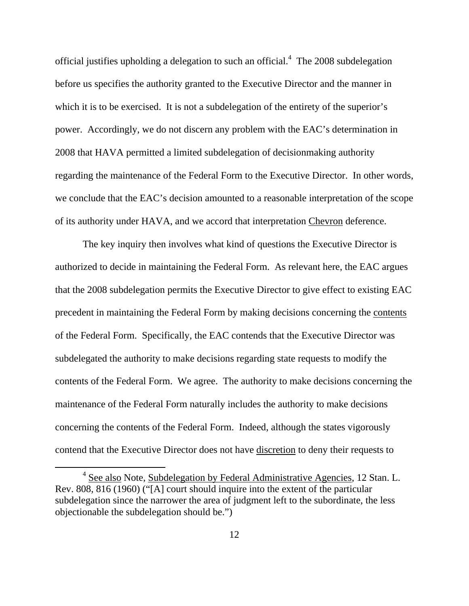official justifies upholding a delegation to such an official. $4$  The 2008 subdelegation before us specifies the authority granted to the Executive Director and the manner in which it is to be exercised. It is not a subdelegation of the entirety of the superior's power. Accordingly, we do not discern any problem with the EAC's determination in 2008 that HAVA permitted a limited subdelegation of decisionmaking authority regarding the maintenance of the Federal Form to the Executive Director. In other words, we conclude that the EAC's decision amounted to a reasonable interpretation of the scope of its authority under HAVA, and we accord that interpretation Chevron deference.

The key inquiry then involves what kind of questions the Executive Director is authorized to decide in maintaining the Federal Form. As relevant here, the EAC argues that the 2008 subdelegation permits the Executive Director to give effect to existing EAC precedent in maintaining the Federal Form by making decisions concerning the contents of the Federal Form. Specifically, the EAC contends that the Executive Director was subdelegated the authority to make decisions regarding state requests to modify the contents of the Federal Form. We agree. The authority to make decisions concerning the maintenance of the Federal Form naturally includes the authority to make decisions concerning the contents of the Federal Form. Indeed, although the states vigorously contend that the Executive Director does not have discretion to deny their requests to

 $\overline{4}$  $4$  See also Note, Subdelegation by Federal Administrative Agencies, 12 Stan. L. Rev. 808, 816 (1960) ("[A] court should inquire into the extent of the particular subdelegation since the narrower the area of judgment left to the subordinate, the less objectionable the subdelegation should be.")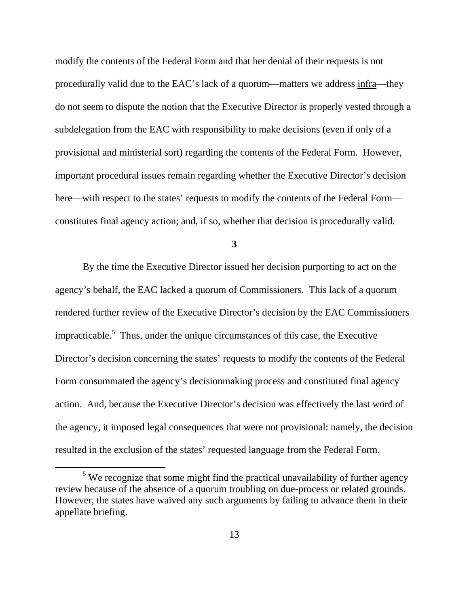modify the contents of the Federal Form and that her denial of their requests is not procedurally valid due to the EAC's lack of a quorum—matters we address infra—they do not seem to dispute the notion that the Executive Director is properly vested through a subdelegation from the EAC with responsibility to make decisions (even if only of a provisional and ministerial sort) regarding the contents of the Federal Form. However, important procedural issues remain regarding whether the Executive Director's decision here—with respect to the states' requests to modify the contents of the Federal Form constitutes final agency action; and, if so, whether that decision is procedurally valid.

**3** 

By the time the Executive Director issued her decision purporting to act on the agency's behalf, the EAC lacked a quorum of Commissioners. This lack of a quorum rendered further review of the Executive Director's decision by the EAC Commissioners impracticable.<sup>5</sup> Thus, under the unique circumstances of this case, the Executive Director's decision concerning the states' requests to modify the contents of the Federal Form consummated the agency's decisionmaking process and constituted final agency action. And, because the Executive Director's decision was effectively the last word of the agency, it imposed legal consequences that were not provisional: namely, the decision resulted in the exclusion of the states' requested language from the Federal Form.

 $\frac{1}{5}$  $5$  We recognize that some might find the practical unavailability of further agency review because of the absence of a quorum troubling on due-process or related grounds. However, the states have waived any such arguments by failing to advance them in their appellate briefing.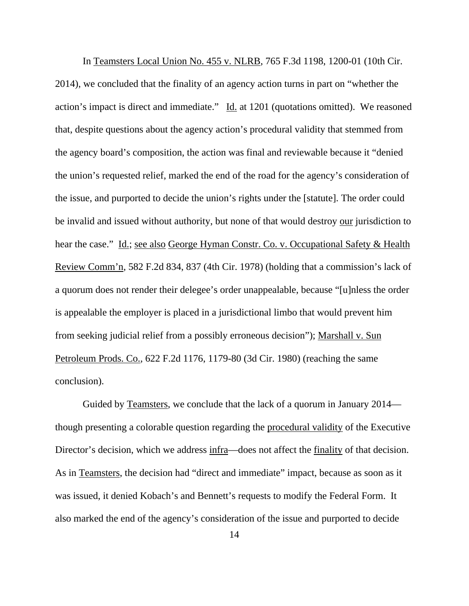In Teamsters Local Union No. 455 v. NLRB, 765 F.3d 1198, 1200-01 (10th Cir. 2014), we concluded that the finality of an agency action turns in part on "whether the action's impact is direct and immediate." Id. at 1201 (quotations omitted). We reasoned that, despite questions about the agency action's procedural validity that stemmed from the agency board's composition, the action was final and reviewable because it "denied the union's requested relief, marked the end of the road for the agency's consideration of the issue, and purported to decide the union's rights under the [statute]. The order could be invalid and issued without authority, but none of that would destroy our jurisdiction to hear the case." Id.; see also George Hyman Constr. Co. v. Occupational Safety & Health Review Comm'n, 582 F.2d 834, 837 (4th Cir. 1978) (holding that a commission's lack of a quorum does not render their delegee's order unappealable, because "[u]nless the order is appealable the employer is placed in a jurisdictional limbo that would prevent him from seeking judicial relief from a possibly erroneous decision"); Marshall v. Sun Petroleum Prods. Co., 622 F.2d 1176, 1179-80 (3d Cir. 1980) (reaching the same conclusion).

Guided by Teamsters, we conclude that the lack of a quorum in January 2014 though presenting a colorable question regarding the procedural validity of the Executive Director's decision, which we address infra—does not affect the finality of that decision. As in Teamsters, the decision had "direct and immediate" impact, because as soon as it was issued, it denied Kobach's and Bennett's requests to modify the Federal Form. It also marked the end of the agency's consideration of the issue and purported to decide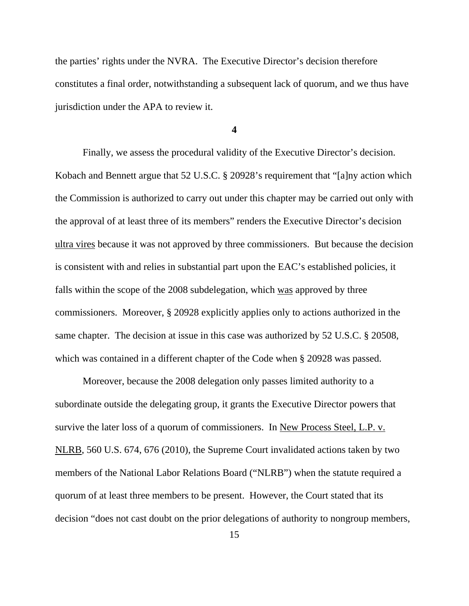the parties' rights under the NVRA. The Executive Director's decision therefore constitutes a final order, notwithstanding a subsequent lack of quorum, and we thus have jurisdiction under the APA to review it.

**4** 

Finally, we assess the procedural validity of the Executive Director's decision. Kobach and Bennett argue that 52 U.S.C. § 20928's requirement that "[a]ny action which the Commission is authorized to carry out under this chapter may be carried out only with the approval of at least three of its members" renders the Executive Director's decision ultra vires because it was not approved by three commissioners. But because the decision is consistent with and relies in substantial part upon the EAC's established policies, it falls within the scope of the 2008 subdelegation, which was approved by three commissioners. Moreover, § 20928 explicitly applies only to actions authorized in the same chapter. The decision at issue in this case was authorized by 52 U.S.C. § 20508, which was contained in a different chapter of the Code when § 20928 was passed.

Moreover, because the 2008 delegation only passes limited authority to a subordinate outside the delegating group, it grants the Executive Director powers that survive the later loss of a quorum of commissioners. In New Process Steel, L.P. v. NLRB, 560 U.S. 674, 676 (2010), the Supreme Court invalidated actions taken by two members of the National Labor Relations Board ("NLRB") when the statute required a quorum of at least three members to be present. However, the Court stated that its decision "does not cast doubt on the prior delegations of authority to nongroup members,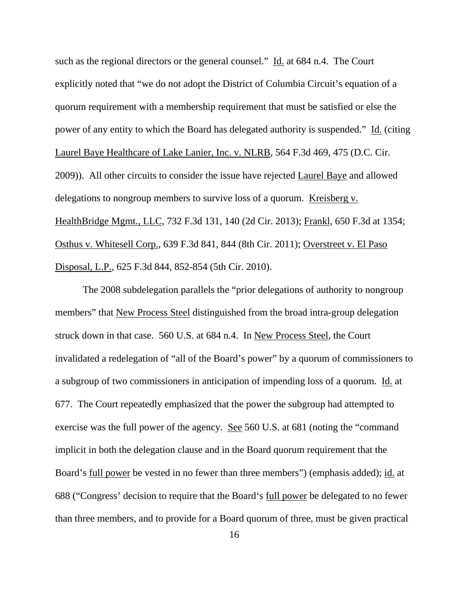such as the regional directors or the general counsel." Id. at 684 n.4. The Court explicitly noted that "we do not adopt the District of Columbia Circuit's equation of a quorum requirement with a membership requirement that must be satisfied or else the power of any entity to which the Board has delegated authority is suspended." Id. (citing Laurel Baye Healthcare of Lake Lanier, Inc. v. NLRB, 564 F.3d 469, 475 (D.C. Cir. 2009)). All other circuits to consider the issue have rejected Laurel Baye and allowed delegations to nongroup members to survive loss of a quorum. Kreisberg v. HealthBridge Mgmt., LLC, 732 F.3d 131, 140 (2d Cir. 2013); Frankl, 650 F.3d at 1354; Osthus v. Whitesell Corp., 639 F.3d 841, 844 (8th Cir. 2011); Overstreet v. El Paso Disposal, L.P., 625 F.3d 844, 852-854 (5th Cir. 2010).

The 2008 subdelegation parallels the "prior delegations of authority to nongroup members" that New Process Steel distinguished from the broad intra-group delegation struck down in that case. 560 U.S. at 684 n.4. In New Process Steel, the Court invalidated a redelegation of "all of the Board's power" by a quorum of commissioners to a subgroup of two commissioners in anticipation of impending loss of a quorum. Id. at 677. The Court repeatedly emphasized that the power the subgroup had attempted to exercise was the full power of the agency. See 560 U.S. at 681 (noting the "command implicit in both the delegation clause and in the Board quorum requirement that the Board's full power be vested in no fewer than three members") (emphasis added); id. at 688 ("Congress' decision to require that the Board's full power be delegated to no fewer than three members, and to provide for a Board quorum of three, must be given practical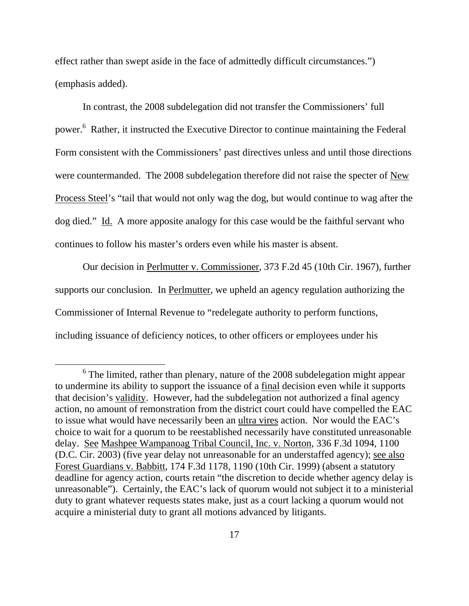effect rather than swept aside in the face of admittedly difficult circumstances.") (emphasis added).

In contrast, the 2008 subdelegation did not transfer the Commissioners' full power.<sup>6</sup> Rather, it instructed the Executive Director to continue maintaining the Federal Form consistent with the Commissioners' past directives unless and until those directions were countermanded. The 2008 subdelegation therefore did not raise the specter of New Process Steel's "tail that would not only wag the dog, but would continue to wag after the dog died." Id. A more apposite analogy for this case would be the faithful servant who continues to follow his master's orders even while his master is absent.

Our decision in Perlmutter v. Commissioner, 373 F.2d 45 (10th Cir. 1967), further supports our conclusion. In Perlmutter, we upheld an agency regulation authorizing the Commissioner of Internal Revenue to "redelegate authority to perform functions, including issuance of deficiency notices, to other officers or employees under his

 <sup>6</sup>  $6$  The limited, rather than plenary, nature of the 2008 subdelegation might appear to undermine its ability to support the issuance of a final decision even while it supports that decision's validity. However, had the subdelegation not authorized a final agency action, no amount of remonstration from the district court could have compelled the EAC to issue what would have necessarily been an ultra vires action. Nor would the EAC's choice to wait for a quorum to be reestablished necessarily have constituted unreasonable delay. See Mashpee Wampanoag Tribal Council, Inc. v. Norton, 336 F.3d 1094, 1100 (D.C. Cir. 2003) (five year delay not unreasonable for an understaffed agency); see also Forest Guardians v. Babbitt, 174 F.3d 1178, 1190 (10th Cir. 1999) (absent a statutory deadline for agency action, courts retain "the discretion to decide whether agency delay is unreasonable"). Certainly, the EAC's lack of quorum would not subject it to a ministerial duty to grant whatever requests states make, just as a court lacking a quorum would not acquire a ministerial duty to grant all motions advanced by litigants.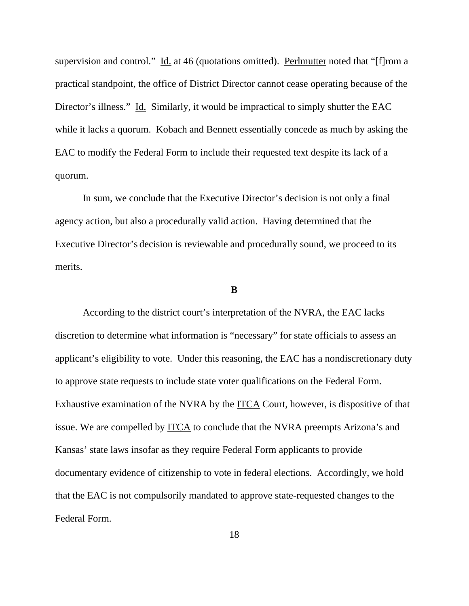supervision and control." Id. at 46 (quotations omitted). Perlmutter noted that "[f]rom a practical standpoint, the office of District Director cannot cease operating because of the Director's illness." Id. Similarly, it would be impractical to simply shutter the EAC while it lacks a quorum. Kobach and Bennett essentially concede as much by asking the EAC to modify the Federal Form to include their requested text despite its lack of a quorum.

 In sum, we conclude that the Executive Director's decision is not only a final agency action, but also a procedurally valid action. Having determined that the Executive Director's decision is reviewable and procedurally sound, we proceed to its merits.

#### **B**

According to the district court's interpretation of the NVRA, the EAC lacks discretion to determine what information is "necessary" for state officials to assess an applicant's eligibility to vote. Under this reasoning, the EAC has a nondiscretionary duty to approve state requests to include state voter qualifications on the Federal Form. Exhaustive examination of the NVRA by the ITCA Court, however, is dispositive of that issue. We are compelled by ITCA to conclude that the NVRA preempts Arizona's and Kansas' state laws insofar as they require Federal Form applicants to provide documentary evidence of citizenship to vote in federal elections. Accordingly, we hold that the EAC is not compulsorily mandated to approve state-requested changes to the Federal Form.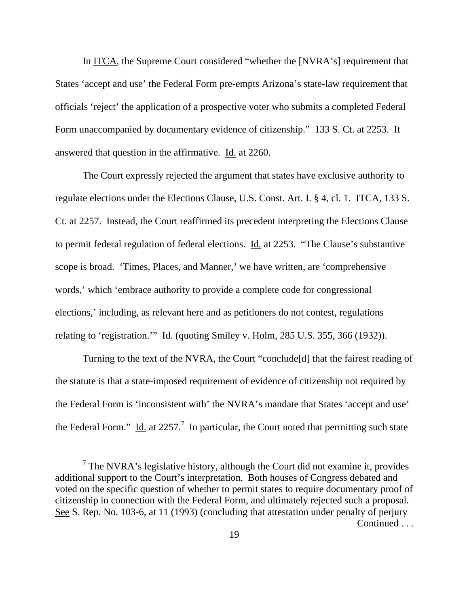In ITCA, the Supreme Court considered "whether the [NVRA's] requirement that States 'accept and use' the Federal Form pre-empts Arizona's state-law requirement that officials 'reject' the application of a prospective voter who submits a completed Federal Form unaccompanied by documentary evidence of citizenship." 133 S. Ct. at 2253. It answered that question in the affirmative. Id. at 2260.

The Court expressly rejected the argument that states have exclusive authority to regulate elections under the Elections Clause, U.S. Const. Art. I. § 4, cl. 1. ITCA, 133 S. Ct. at 2257. Instead, the Court reaffirmed its precedent interpreting the Elections Clause to permit federal regulation of federal elections. Id. at 2253. "The Clause's substantive scope is broad. 'Times, Places, and Manner,' we have written, are 'comprehensive words,' which 'embrace authority to provide a complete code for congressional elections,' including, as relevant here and as petitioners do not contest, regulations relating to 'registration.'" Id. (quoting Smiley v. Holm, 285 U.S. 355, 366 (1932)).

Turning to the text of the NVRA, the Court "conclude[d] that the fairest reading of the statute is that a state-imposed requirement of evidence of citizenship not required by the Federal Form is 'inconsistent with' the NVRA's mandate that States 'accept and use' the Federal Form." Id. at 2257.<sup>7</sup> In particular, the Court noted that permitting such state

 $\frac{1}{7}$  $7$  The NVRA's legislative history, although the Court did not examine it, provides additional support to the Court's interpretation. Both houses of Congress debated and voted on the specific question of whether to permit states to require documentary proof of citizenship in connection with the Federal Form, and ultimately rejected such a proposal. See S. Rep. No. 103-6, at 11 (1993) (concluding that attestation under penalty of perjury Continued . . .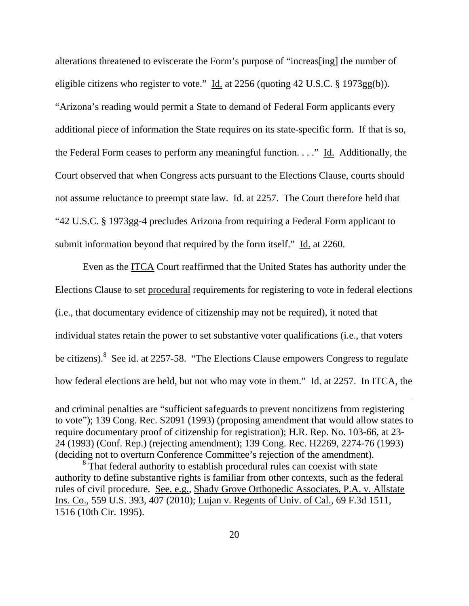alterations threatened to eviscerate the Form's purpose of "increas[ing] the number of eligible citizens who register to vote." Id. at 2256 (quoting 42 U.S.C. § 1973gg(b)). "Arizona's reading would permit a State to demand of Federal Form applicants every additional piece of information the State requires on its state-specific form. If that is so, the Federal Form ceases to perform any meaningful function. . . ." Id. Additionally, the Court observed that when Congress acts pursuant to the Elections Clause, courts should not assume reluctance to preempt state law. Id. at 2257. The Court therefore held that "42 U.S.C. § 1973gg-4 precludes Arizona from requiring a Federal Form applicant to submit information beyond that required by the form itself." Id. at 2260.

Even as the ITCA Court reaffirmed that the United States has authority under the Elections Clause to set procedural requirements for registering to vote in federal elections (i.e., that documentary evidence of citizenship may not be required), it noted that individual states retain the power to set substantive voter qualifications (i.e., that voters be citizens).<sup>8</sup> See id. at 2257-58. "The Elections Clause empowers Congress to regulate how federal elections are held, but not who may vote in them." Id. at 2257. In ITCA, the

 $\overline{a}$ 

and criminal penalties are "sufficient safeguards to prevent noncitizens from registering to vote"); 139 Cong. Rec. S2091 (1993) (proposing amendment that would allow states to require documentary proof of citizenship for registration); H.R. Rep. No. 103-66, at 23- 24 (1993) (Conf. Rep.) (rejecting amendment); 139 Cong. Rec. H2269, 2274-76 (1993) (deciding not to overturn Conference Committee's rejection of the amendment).

<sup>&</sup>lt;sup>8</sup> That federal authority to establish procedural rules can coexist with state authority to define substantive rights is familiar from other contexts, such as the federal rules of civil procedure. See, e.g., Shady Grove Orthopedic Associates, P.A. v. Allstate Ins. Co., 559 U.S. 393, 407 (2010); Lujan v. Regents of Univ. of Cal., 69 F.3d 1511, 1516 (10th Cir. 1995).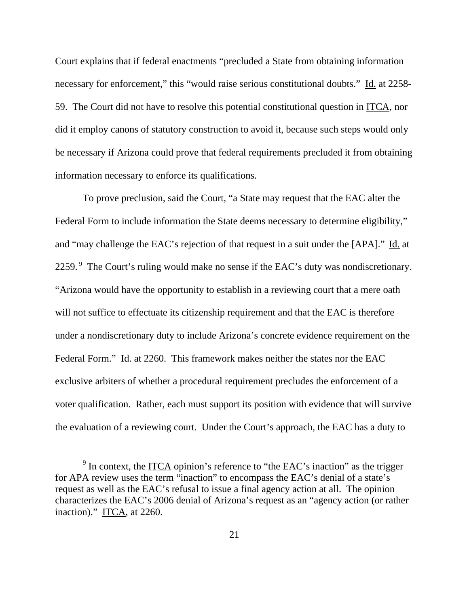Court explains that if federal enactments "precluded a State from obtaining information necessary for enforcement," this "would raise serious constitutional doubts." Id. at 2258-59. The Court did not have to resolve this potential constitutional question in ITCA, nor did it employ canons of statutory construction to avoid it, because such steps would only be necessary if Arizona could prove that federal requirements precluded it from obtaining information necessary to enforce its qualifications.

To prove preclusion, said the Court, "a State may request that the EAC alter the Federal Form to include information the State deems necessary to determine eligibility," and "may challenge the EAC's rejection of that request in a suit under the [APA]." Id. at 2259.<sup>9</sup> The Court's ruling would make no sense if the EAC's duty was nondiscretionary. "Arizona would have the opportunity to establish in a reviewing court that a mere oath will not suffice to effectuate its citizenship requirement and that the EAC is therefore under a nondiscretionary duty to include Arizona's concrete evidence requirement on the Federal Form." Id. at 2260. This framework makes neither the states nor the EAC exclusive arbiters of whether a procedural requirement precludes the enforcement of a voter qualification. Rather, each must support its position with evidence that will survive the evaluation of a reviewing court. Under the Court's approach, the EAC has a duty to

 $\frac{1}{9}$  $9$  In context, the ITCA opinion's reference to "the EAC's inaction" as the trigger for APA review uses the term "inaction" to encompass the EAC's denial of a state's request as well as the EAC's refusal to issue a final agency action at all. The opinion characterizes the EAC's 2006 denial of Arizona's request as an "agency action (or rather inaction)." ITCA, at 2260.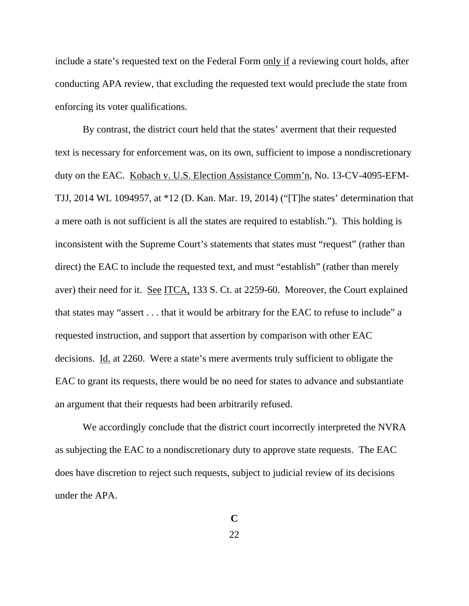include a state's requested text on the Federal Form only if a reviewing court holds, after conducting APA review, that excluding the requested text would preclude the state from enforcing its voter qualifications.

By contrast, the district court held that the states' averment that their requested text is necessary for enforcement was, on its own, sufficient to impose a nondiscretionary duty on the EAC. Kobach v. U.S. Election Assistance Comm'n, No. 13-CV-4095-EFM-TJJ, 2014 WL 1094957, at \*12 (D. Kan. Mar. 19, 2014) ("[T]he states' determination that a mere oath is not sufficient is all the states are required to establish."). This holding is inconsistent with the Supreme Court's statements that states must "request" (rather than direct) the EAC to include the requested text, and must "establish" (rather than merely aver) their need for it. See ITCA, 133 S. Ct. at 2259-60. Moreover, the Court explained that states may "assert . . . that it would be arbitrary for the EAC to refuse to include" a requested instruction, and support that assertion by comparison with other EAC decisions. Id. at 2260.Were a state's mere averments truly sufficient to obligate the EAC to grant its requests, there would be no need for states to advance and substantiate an argument that their requests had been arbitrarily refused.

We accordingly conclude that the district court incorrectly interpreted the NVRA as subjecting the EAC to a nondiscretionary duty to approve state requests. The EAC does have discretion to reject such requests, subject to judicial review of its decisions under the APA.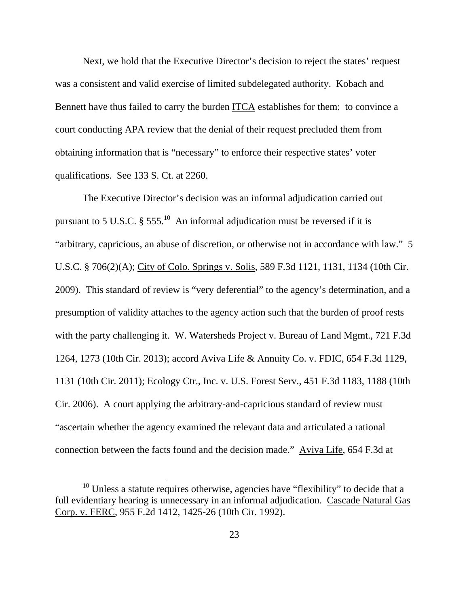Next, we hold that the Executive Director's decision to reject the states' request was a consistent and valid exercise of limited subdelegated authority. Kobach and Bennett have thus failed to carry the burden ITCA establishes for them: to convince a court conducting APA review that the denial of their request precluded them from obtaining information that is "necessary" to enforce their respective states' voter qualifications. See 133 S. Ct. at 2260.

The Executive Director's decision was an informal adjudication carried out pursuant to 5 U.S.C.  $\S 555$ <sup>10</sup> An informal adjudication must be reversed if it is "arbitrary, capricious, an abuse of discretion, or otherwise not in accordance with law." 5 U.S.C. § 706(2)(A); City of Colo. Springs v. Solis, 589 F.3d 1121, 1131, 1134 (10th Cir. 2009). This standard of review is "very deferential" to the agency's determination, and a presumption of validity attaches to the agency action such that the burden of proof rests with the party challenging it. W. Watersheds Project v. Bureau of Land Mgmt., 721 F.3d 1264, 1273 (10th Cir. 2013); accord Aviva Life & Annuity Co. v. FDIC, 654 F.3d 1129, 1131 (10th Cir. 2011); Ecology Ctr., Inc. v. U.S. Forest Serv., 451 F.3d 1183, 1188 (10th Cir. 2006). A court applying the arbitrary-and-capricious standard of review must "ascertain whether the agency examined the relevant data and articulated a rational connection between the facts found and the decision made." Aviva Life, 654 F.3d at

 $10$  Unless a statute requires otherwise, agencies have "flexibility" to decide that a full evidentiary hearing is unnecessary in an informal adjudication. Cascade Natural Gas Corp. v. FERC, 955 F.2d 1412, 1425-26 (10th Cir. 1992).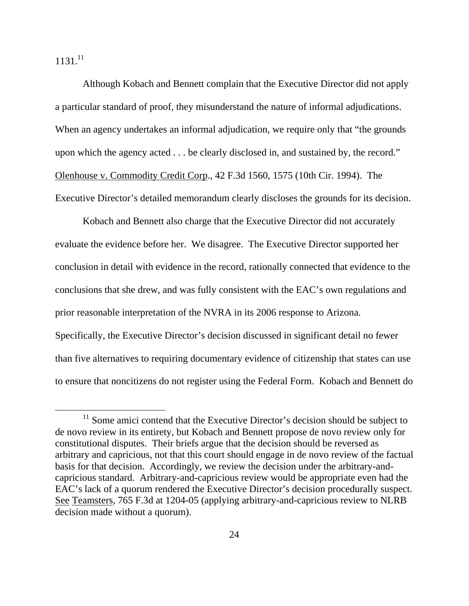$1131.<sup>11</sup>$ 

Although Kobach and Bennett complain that the Executive Director did not apply a particular standard of proof, they misunderstand the nature of informal adjudications. When an agency undertakes an informal adjudication, we require only that "the grounds upon which the agency acted . . . be clearly disclosed in, and sustained by, the record." Olenhouse v. Commodity Credit Corp., 42 F.3d 1560, 1575 (10th Cir. 1994). The Executive Director's detailed memorandum clearly discloses the grounds for its decision.

Kobach and Bennett also charge that the Executive Director did not accurately evaluate the evidence before her. We disagree. The Executive Director supported her conclusion in detail with evidence in the record, rationally connected that evidence to the conclusions that she drew, and was fully consistent with the EAC's own regulations and prior reasonable interpretation of the NVRA in its 2006 response to Arizona. Specifically, the Executive Director's decision discussed in significant detail no fewer than five alternatives to requiring documentary evidence of citizenship that states can use to ensure that noncitizens do not register using the Federal Form. Kobach and Bennett do

 $11$  Some amici contend that the Executive Director's decision should be subject to de novo review in its entirety, but Kobach and Bennett propose de novo review only for constitutional disputes. Their briefs argue that the decision should be reversed as arbitrary and capricious, not that this court should engage in de novo review of the factual basis for that decision. Accordingly, we review the decision under the arbitrary-andcapricious standard. Arbitrary-and-capricious review would be appropriate even had the EAC's lack of a quorum rendered the Executive Director's decision procedurally suspect. See Teamsters, 765 F.3d at 1204-05 (applying arbitrary-and-capricious review to NLRB decision made without a quorum).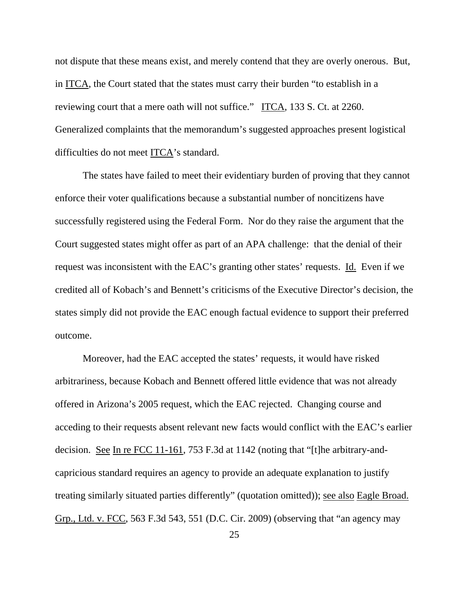not dispute that these means exist, and merely contend that they are overly onerous. But, in ITCA, the Court stated that the states must carry their burden "to establish in a reviewing court that a mere oath will not suffice." ITCA, 133 S. Ct. at 2260. Generalized complaints that the memorandum's suggested approaches present logistical difficulties do not meet ITCA's standard.

The states have failed to meet their evidentiary burden of proving that they cannot enforce their voter qualifications because a substantial number of noncitizens have successfully registered using the Federal Form. Nor do they raise the argument that the Court suggested states might offer as part of an APA challenge: that the denial of their request was inconsistent with the EAC's granting other states' requests. Id. Even if we credited all of Kobach's and Bennett's criticisms of the Executive Director's decision, the states simply did not provide the EAC enough factual evidence to support their preferred outcome.

Moreover, had the EAC accepted the states' requests, it would have risked arbitrariness, because Kobach and Bennett offered little evidence that was not already offered in Arizona's 2005 request, which the EAC rejected. Changing course and acceding to their requests absent relevant new facts would conflict with the EAC's earlier decision. See In re FCC 11-161, 753 F.3d at 1142 (noting that "[t]he arbitrary-andcapricious standard requires an agency to provide an adequate explanation to justify treating similarly situated parties differently" (quotation omitted)); see also Eagle Broad. Grp., Ltd. v. FCC, 563 F.3d 543, 551 (D.C. Cir. 2009) (observing that "an agency may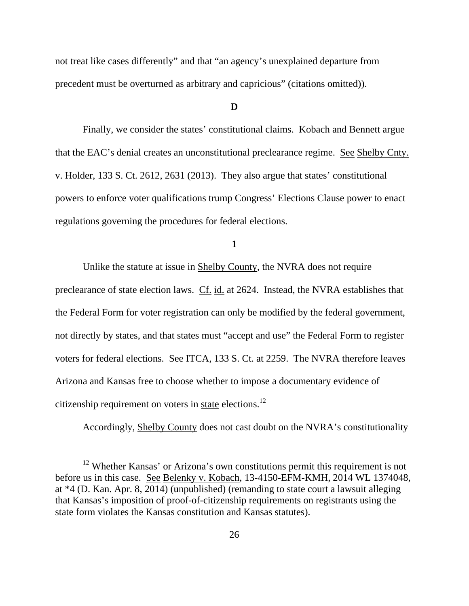not treat like cases differently" and that "an agency's unexplained departure from precedent must be overturned as arbitrary and capricious" (citations omitted)).

## **D**

Finally, we consider the states' constitutional claims. Kobach and Bennett argue that the EAC's denial creates an unconstitutional preclearance regime. See Shelby Cnty. v. Holder, 133 S. Ct. 2612, 2631 (2013). They also argue that states' constitutional powers to enforce voter qualifications trump Congress' Elections Clause power to enact regulations governing the procedures for federal elections.

**1** 

Unlike the statute at issue in Shelby County, the NVRA does not require preclearance of state election laws. Cf. id. at 2624. Instead, the NVRA establishes that the Federal Form for voter registration can only be modified by the federal government, not directly by states, and that states must "accept and use" the Federal Form to register voters for federal elections. See ITCA, 133 S. Ct. at 2259. The NVRA therefore leaves Arizona and Kansas free to choose whether to impose a documentary evidence of citizenship requirement on voters in state elections.<sup>12</sup>

Accordingly, Shelby County does not cast doubt on the NVRA's constitutionality

<sup>&</sup>lt;sup>12</sup> Whether Kansas' or Arizona's own constitutions permit this requirement is not before us in this case. See Belenky v. Kobach, 13-4150-EFM-KMH, 2014 WL 1374048, at \*4 (D. Kan. Apr. 8, 2014) (unpublished) (remanding to state court a lawsuit alleging that Kansas's imposition of proof-of-citizenship requirements on registrants using the state form violates the Kansas constitution and Kansas statutes).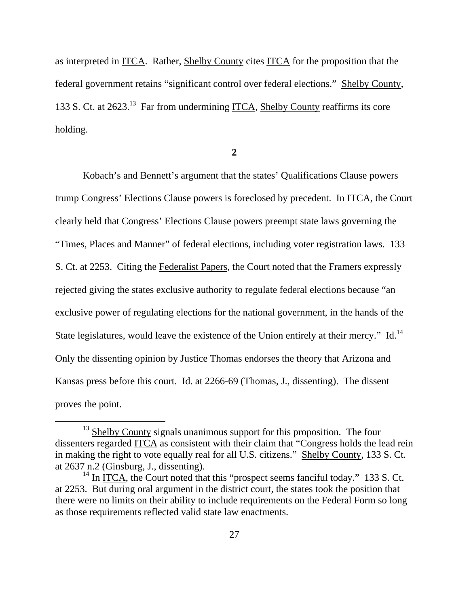as interpreted in ITCA. Rather, Shelby County cites ITCA for the proposition that the federal government retains "significant control over federal elections." Shelby County, 133 S. Ct. at 2623.13 Far from undermining ITCA, Shelby County reaffirms its core holding.

**2** 

Kobach's and Bennett's argument that the states' Qualifications Clause powers trump Congress' Elections Clause powers is foreclosed by precedent. In ITCA, the Court clearly held that Congress' Elections Clause powers preempt state laws governing the "Times, Places and Manner" of federal elections, including voter registration laws. 133 S. Ct. at 2253. Citing the Federalist Papers, the Court noted that the Framers expressly rejected giving the states exclusive authority to regulate federal elections because "an exclusive power of regulating elections for the national government, in the hands of the State legislatures, would leave the existence of the Union entirely at their mercy." Id.<sup>14</sup> Only the dissenting opinion by Justice Thomas endorses the theory that Arizona and Kansas press before this court. Id. at 2266-69 (Thomas, J., dissenting). The dissent proves the point.

 $13$  Shelby County signals unanimous support for this proposition. The four dissenters regarded ITCA as consistent with their claim that "Congress holds the lead rein in making the right to vote equally real for all U.S. citizens." Shelby County, 133 S. Ct. at 2637 n.2 (Ginsburg, J., dissenting).

 $14$  In ITCA, the Court noted that this "prospect seems fanciful today." 133 S. Ct. at 2253. But during oral argument in the district court, the states took the position that there were no limits on their ability to include requirements on the Federal Form so long as those requirements reflected valid state law enactments.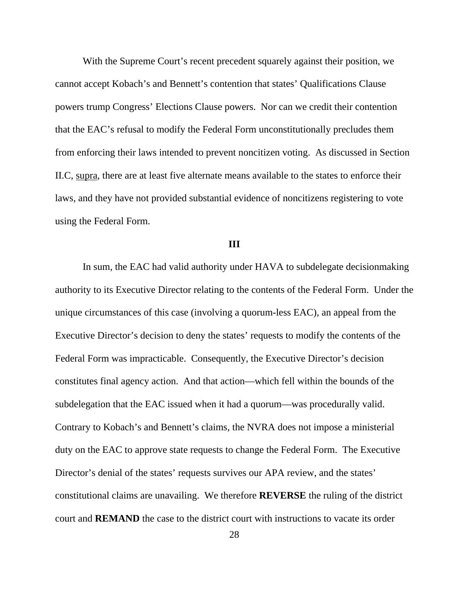With the Supreme Court's recent precedent squarely against their position, we cannot accept Kobach's and Bennett's contention that states' Qualifications Clause powers trump Congress' Elections Clause powers. Nor can we credit their contention that the EAC's refusal to modify the Federal Form unconstitutionally precludes them from enforcing their laws intended to prevent noncitizen voting. As discussed in Section II.C, supra, there are at least five alternate means available to the states to enforce their laws, and they have not provided substantial evidence of noncitizens registering to vote using the Federal Form.

#### **III**

 In sum, the EAC had valid authority under HAVA to subdelegate decisionmaking authority to its Executive Director relating to the contents of the Federal Form. Under the unique circumstances of this case (involving a quorum-less EAC), an appeal from the Executive Director's decision to deny the states' requests to modify the contents of the Federal Form was impracticable. Consequently, the Executive Director's decision constitutes final agency action. And that action—which fell within the bounds of the subdelegation that the EAC issued when it had a quorum—was procedurally valid. Contrary to Kobach's and Bennett's claims, the NVRA does not impose a ministerial duty on the EAC to approve state requests to change the Federal Form. The Executive Director's denial of the states' requests survives our APA review, and the states' constitutional claims are unavailing. We therefore **REVERSE** the ruling of the district court and **REMAND** the case to the district court with instructions to vacate its order